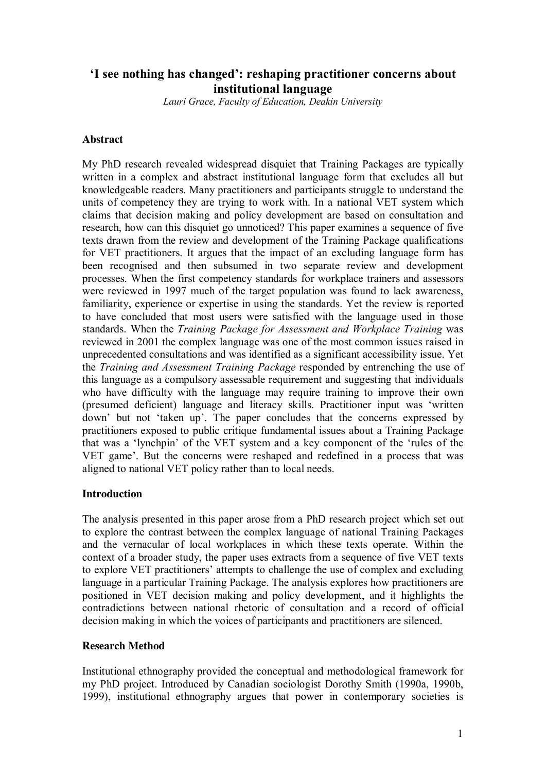# **'I see nothing has changed': reshaping practitioner concerns about institutional language**

*Lauri Grace, Faculty of Education, Deakin University*

### **Abstract**

My PhD research revealed widespread disquiet that Training Packages are typically written in a complex and abstract institutional language form that excludes all but knowledgeable readers. Many practitioners and participants struggle to understand the units of competency they are trying to work with. In a national VET system which claims that decision making and policy development are based on consultation and research, how can this disquiet go unnoticed? This paper examines a sequence of five texts drawn from the review and development of the Training Package qualifications for VET practitioners. It argues that the impact of an excluding language form has been recognised and then subsumed in two separate review and development processes. When the first competency standards for workplace trainers and assessors were reviewed in 1997 much of the target population was found to lack awareness, familiarity, experience or expertise in using the standards. Yet the review is reported to have concluded that most users were satisfied with the language used in those standards. When the *Training Package for Assessment and Workplace Training* was reviewed in 2001 the complex language was one of the most common issues raised in unprecedented consultations and was identified as a significant accessibility issue. Yet the *Training and Assessment Training Package* responded by entrenching the use of this language as a compulsory assessable requirement and suggesting that individuals who have difficulty with the language may require training to improve their own (presumed deficient) language and literacy skills. Practitioner input was 'written down' but not 'taken up'. The paper concludes that the concerns expressed by practitioners exposed to public critique fundamental issues about a Training Package that was a 'lynchpin' of the VET system and a key component of the 'rules of the VET game'. But the concerns were reshaped and redefined in a process that was aligned to national VET policy rather than to local needs.

### **Introduction**

The analysis presented in this paper arose from a PhD research project which set out to explore the contrast between the complex language of national Training Packages and the vernacular of local workplaces in which these texts operate. Within the context of a broader study, the paper uses extracts from a sequence of five VET texts to explore VET practitioners' attempts to challenge the use of complex and excluding language in a particular Training Package. The analysis explores how practitioners are positioned in VET decision making and policy development, and it highlights the contradictions between national rhetoric of consultation and a record of official decision making in which the voices of participants and practitioners are silenced.

### **Research Method**

Institutional ethnography provided the conceptual and methodological framework for my PhD project. Introduced by Canadian sociologist Dorothy Smith (1990a, 1990b, 1999), institutional ethnography argues that power in contemporary societies is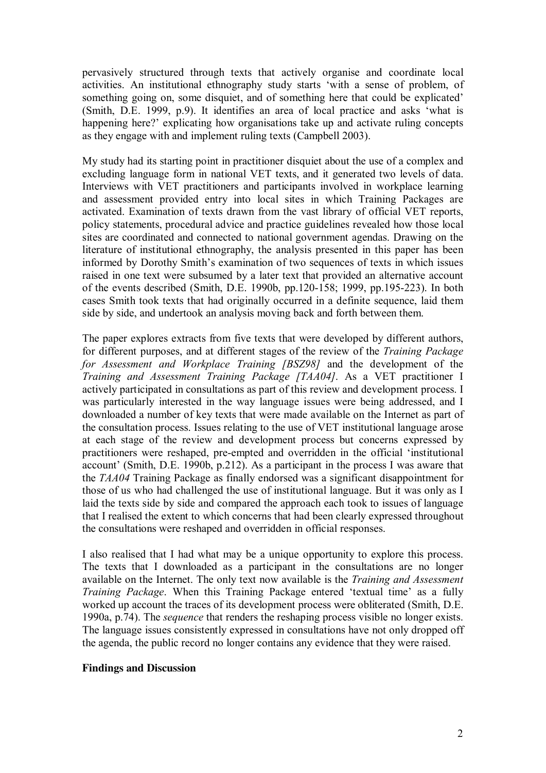pervasively structured through texts that actively organise and coordinate local activities. An institutional ethnography study starts 'with a sense of problem, of something going on, some disquiet, and of something here that could be explicated' (Smith, D.E. 1999, p.9). It identifies an area of local practice and asks 'what is happening here?' explicating how organisations take up and activate ruling concepts as they engage with and implement ruling texts (Campbell 2003).

My study had its starting point in practitioner disquiet about the use of a complex and excluding language form in national VET texts, and it generated two levels of data. Interviews with VET practitioners and participants involved in workplace learning and assessment provided entry into local sites in which Training Packages are activated. Examination of texts drawn from the vast library of official VET reports, policy statements, procedural advice and practice guidelines revealed how those local sites are coordinated and connected to national government agendas. Drawing on the literature of institutional ethnography, the analysis presented in this paper has been informed by Dorothy Smith's examination of two sequences of texts in which issues raised in one text were subsumed by a later text that provided an alternative account of the events described (Smith, D.E. 1990b, pp.120-158; 1999, pp.195-223). In both cases Smith took texts that had originally occurred in a definite sequence, laid them side by side, and undertook an analysis moving back and forth between them.

The paper explores extracts from five texts that were developed by different authors, for different purposes, and at different stages of the review of the *Training Package for Assessment and Workplace Training [BSZ98]* and the development of the *Training and Assessment Training Package [TAA04]*. As a VET practitioner I actively participated in consultations as part of this review and development process. I was particularly interested in the way language issues were being addressed, and I downloaded a number of key texts that were made available on the Internet as part of the consultation process. Issues relating to the use of VET institutional language arose at each stage of the review and development process but concerns expressed by practitioners were reshaped, pre-empted and overridden in the official 'institutional account' (Smith, D.E. 1990b, p.212). As a participant in the process I was aware that the *TAA04* Training Package as finally endorsed was a significant disappointment for those of us who had challenged the use of institutional language. But it was only as I laid the texts side by side and compared the approach each took to issues of language that I realised the extent to which concerns that had been clearly expressed throughout the consultations were reshaped and overridden in official responses.

I also realised that I had what may be a unique opportunity to explore this process. The texts that I downloaded as a participant in the consultations are no longer available on the Internet. The only text now available is the *Training and Assessment Training Package*. When this Training Package entered 'textual time' as a fully worked up account the traces of its development process were obliterated (Smith, D.E. 1990a, p.74). The *sequence* that renders the reshaping process visible no longer exists. The language issues consistently expressed in consultations have not only dropped off the agenda, the public record no longer contains any evidence that they were raised.

### **Findings and Discussion**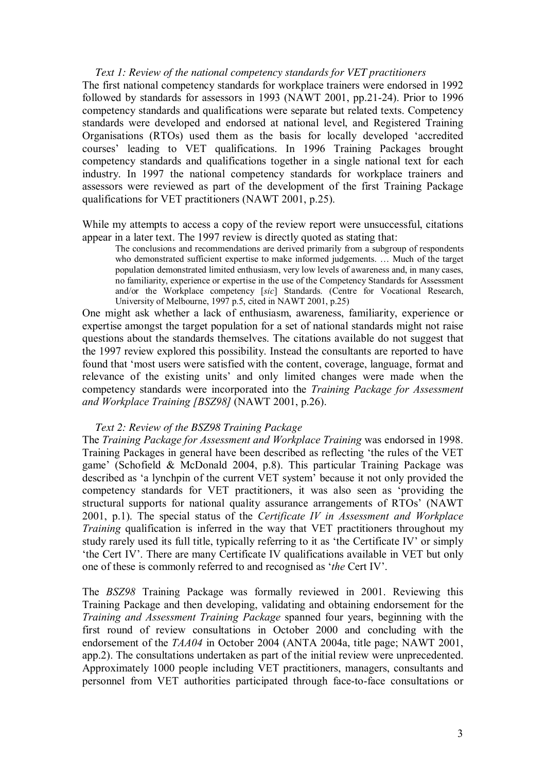*Text 1: Review of the national competency standards for VET practitioners* The first national competency standards for workplace trainers were endorsed in 1992 followed by standards for assessors in 1993 (NAWT 2001, pp.21-24). Prior to 1996 competency standards and qualifications were separate but related texts. Competency standards were developed and endorsed at national level, and Registered Training Organisations (RTOs) used them as the basis for locally developed 'accredited courses' leading to VET qualifications. In 1996 Training Packages brought competency standards and qualifications together in a single national text for each industry. In 1997 the national competency standards for workplace trainers and assessors were reviewed as part of the development of the first Training Package qualifications for VET practitioners (NAWT 2001, p.25).

While my attempts to access a copy of the review report were unsuccessful, citations appear in a later text. The 1997 review is directly quoted as stating that:

The conclusions and recommendations are derived primarily from a subgroup of respondents who demonstrated sufficient expertise to make informed judgements. … Much of the target population demonstrated limited enthusiasm, very low levels of awareness and, in many cases, no familiarity, experience or expertise in the use of the Competency Standards for Assessment and/or the Workplace competency [*sic*] Standards. (Centre for Vocational Research, University of Melbourne, 1997 p.5, cited in NAWT 2001, p.25)

One might ask whether a lack of enthusiasm, awareness, familiarity, experience or expertise amongst the target population for a set of national standards might not raise questions about the standards themselves. The citations available do not suggest that the 1997 review explored this possibility. Instead the consultants are reported to have found that 'most users were satisfied with the content, coverage, language, format and relevance of the existing units' and only limited changes were made when the competency standards were incorporated into the *Training Package for Assessment and Workplace Training [BSZ98]* (NAWT 2001, p.26).

### *Text 2: Review of the BSZ98 Training Package*

The *Training Package for Assessment and Workplace Training* was endorsed in 1998. Training Packages in general have been described as reflecting 'the rules of the VET game' (Schofield & McDonald 2004, p.8). This particular Training Package was described as 'a lynchpin of the current VET system' because it not only provided the competency standards for VET practitioners, it was also seen as 'providing the structural supports for national quality assurance arrangements of RTOs' (NAWT 2001, p.1). The special status of the *Certificate IV in Assessment and Workplace Training* qualification is inferred in the way that VET practitioners throughout my study rarely used its full title, typically referring to it as 'the Certificate IV' or simply 'the Cert IV'. There are many Certificate IV qualifications available in VET but only one of these is commonly referred to and recognised as '*the* Cert IV'.

The *BSZ98* Training Package was formally reviewed in 2001. Reviewing this Training Package and then developing, validating and obtaining endorsement for the *Training and Assessment Training Package* spanned four years, beginning with the first round of review consultations in October 2000 and concluding with the endorsement of the *TAA04* in October 2004 (ANTA 2004a, title page; NAWT 2001, app.2). The consultations undertaken as part of the initial review were unprecedented. Approximately 1000 people including VET practitioners, managers, consultants and personnel from VET authorities participated through face-to-face consultations or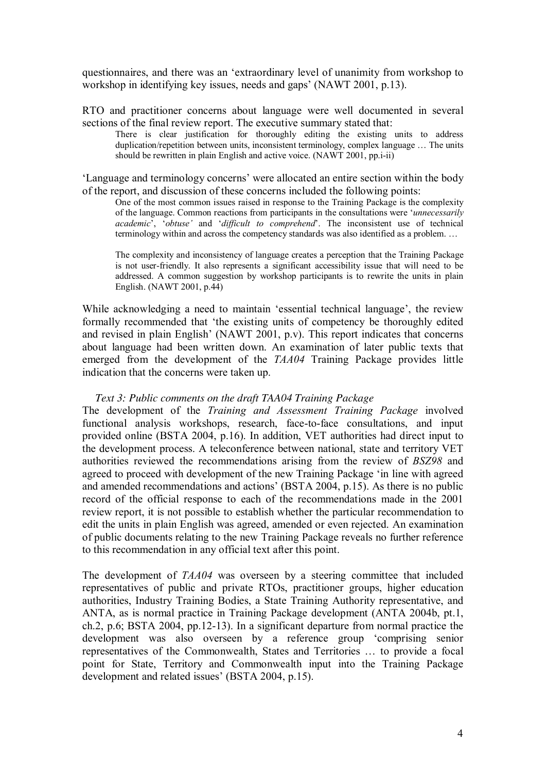questionnaires, and there was an 'extraordinary level of unanimity from workshop to workshop in identifying key issues, needs and gaps' (NAWT 2001, p.13).

RTO and practitioner concerns about language were well documented in several sections of the final review report. The executive summary stated that:

There is clear justification for thoroughly editing the existing units to address duplication/repetition between units, inconsistent terminology, complex language … The units should be rewritten in plain English and active voice. (NAWT 2001, pp.i-ii)

'Language and terminology concerns' were allocated an entire section within the body of the report, and discussion of these concerns included the following points:

One of the most common issues raised in response to the Training Package is the complexity of the language. Common reactions from participants in the consultations were '*unnecessarily academic*', '*obtuse'* and '*dif icult to comprehend*'. The inconsistent use of technical terminology within and across the competency standards was also identified as a problem. …

The complexity and inconsistency of language creates a perception that the Training Package is not user-friendly. It also represents a significant accessibility issue that will need to be addressed. A common suggestion by workshop participants is to rewrite the units in plain English. (NAWT 2001, p.44)

While acknowledging a need to maintain 'essential technical language', the review formally recommended that 'the existing units of competency be thoroughly edited and revised in plain English' (NAWT 2001, p.v). This report indicates that concerns about language had been written down. An examination of later public texts that emerged from the development of the *TAA04* Training Package provides little indication that the concerns were taken up.

### *Text 3: Public comments on the draft TAA04 Training Package*

The development of the *Training and Assessment Training Package* involved functional analysis workshops, research, face-to-face consultations, and input provided online (BSTA 2004, p.16). In addition, VET authorities had direct input to the development process. A teleconference between national, state and territory VET authorities reviewed the recommendations arising from the review of *BSZ98* and agreed to proceed with development of the new Training Package 'in line with agreed and amended recommendations and actions' (BSTA 2004, p.15). As there is no public record of the official response to each of the recommendations made in the 2001 review report, it is not possible to establish whether the particular recommendation to edit the units in plain English was agreed, amended or even rejected. An examination of public documents relating to the new Training Package reveals no further reference to this recommendation in any official text after this point.

The development of *TAA04* was overseen by a steering committee that included representatives of public and private RTOs, practitioner groups, higher education authorities, Industry Training Bodies, a State Training Authority representative, and ANTA, as is normal practice in Training Package development (ANTA 2004b, pt.1, ch.2, p.6; BSTA 2004, pp.1213). In a significant departure from normal practice the development was also overseen by a reference group 'comprising senior representatives of the Commonwealth, States and Territories … to provide a focal point for State, Territory and Commonwealth input into the Training Package development and related issues' (BSTA 2004, p.15).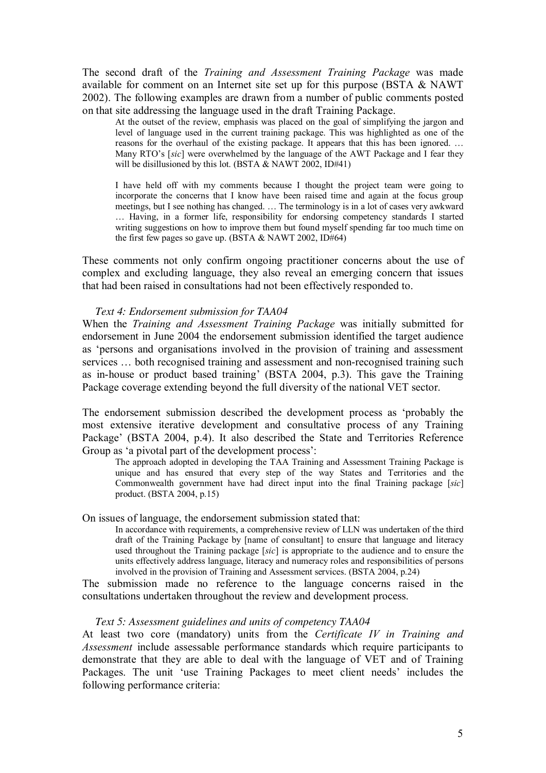The second draft of the *Training and Assessment Training Package* was made available for comment on an Internet site set up for this purpose (BSTA & NAWT 2002). The following examples are drawn from a number of public comments posted on that site addressing the language used in the draft Training Package.

At the outset of the review, emphasis was placed on the goal of simplifying the jargon and level of language used in the current training package. This was highlighted as one of the reasons for the overhaul of the existing package. It appears that this has been ignored. … Many RTO's [*sic*] were overwhelmed by the language of the AWT Package and I fear they will be disillusioned by this lot. (BSTA & NAWT 2002, ID#41)

I have held off with my comments because I thought the project team were going to incorporate the concerns that I know have been raised time and again at the focus group meetings, but I see nothing has changed. ... The terminology is in a lot of cases very awkward … Having, in a former life, responsibility for endorsing competency standards I started writing suggestions on how to improve them but found myself spending far too much time on the first few pages so gave up. (BSTA & NAWT 2002, ID#64)

These comments not only confirm ongoing practitioner concerns about the use of complex and excluding language, they also reveal an emerging concern that issues that had been raised in consultations had not been effectively responded to.

#### *Text 4: Endorsement submission for TAA04*

When the *Training and Assessment Training Package* was initially submitted for endorsement in June 2004 the endorsement submission identified the target audience as 'persons and organisations involved in the provision of training and assessment services ... both recognised training and assessment and non-recognised training such as inhouse or product based training' (BSTA 2004, p.3). This gave the Training Package coverage extending beyond the full diversity of the national VET sector.

The endorsement submission described the development process as 'probably the most extensive iterative development and consultative process of any Training Package' (BSTA 2004, p.4). It also described the State and Territories Reference Group as 'a pivotal part of the development process':

The approach adopted in developing the TAA Training and Assessment Training Package is unique and has ensured that every step of the way States and Territories and the Commonwealth government have had direct input into the final Training package [*sic*] product. (BSTA 2004, p.15)

#### On issues of language, the endorsement submission stated that:

In accordance with requirements, a comprehensive review of LLN was undertaken of the third draft of the Training Package by [name of consultant] to ensure that language and literacy used throughout the Training package [*sic*] is appropriate to the audience and to ensure the units effectively address language, literacy and numeracy roles and responsibilities of persons involved in the provision of Training and Assessment services. (BSTA 2004, p.24)

The submission made no reference to the language concerns raised in the consultations undertaken throughout the review and development process.

#### *Text 5: Assessment guidelines and units of competency TAA04*

At least two core (mandatory) units from the *Certificate IV in Training and Assessment* include assessable performance standards which require participants to demonstrate that they are able to deal with the language of VET and of Training Packages. The unit 'use Training Packages to meet client needs' includes the following performance criteria: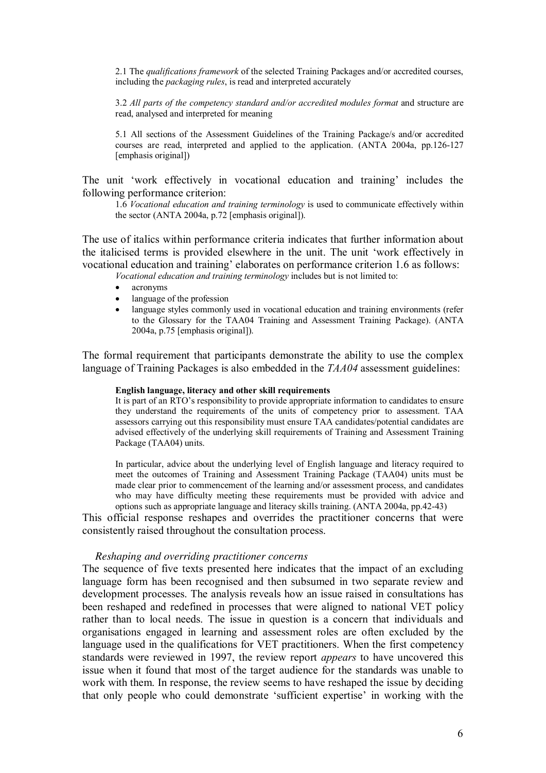2.1 The *qualifications framework* of the selected Training Packages and/or accredited courses, including the *packaging rules*, is read and interpreted accurately

3.2 *All parts of the competency standard and/or accredited modules format* and structure are read, analysed and interpreted for meaning

5.1 All sections of the Assessment Guidelines of the Training Package/s and/or accredited courses are read, interpreted and applied to the application. (ANTA 2004a, pp.126-127) [emphasis original])

The unit 'work effectively in vocational education and training' includes the following performance criterion:

1.6 *Vocational education and training terminology* is used to communicate effectively within the sector (ANTA 2004a, p.72 [emphasis original]).

The use of italics within performance criteria indicates that further information about the italicised terms is provided elsewhere in the unit. The unit 'work effectively in vocational education and training' elaborates on performance criterion 1.6 as follows:

*Vocational education and training terminology* includes but is not limited to:

- acronyms
- language of the profession
- language styles commonly used in vocational education and training environments (refer to the Glossary for the TAA04 Training and Assessment Training Package). (ANTA 2004a, p.75 [emphasis original]).

The formal requirement that participants demonstrate the ability to use the complex language of Training Packages is also embedded in the *TAA04* assessment guidelines:

### **English language, literacy and other skill requirements**

It is part of an RTO's responsibility to provide appropriate information to candidates to ensure they understand the requirements of the units of competency prior to assessment. TAA assessors carrying out this responsibility must ensure TAA candidates/potential candidates are advised effectively of the underlying skill requirements of Training and Assessment Training Package (TAA04) units.

In particular, advice about the underlying level of English language and literacy required to meet the outcomes of Training and Assessment Training Package (TAA04) units must be made clear prior to commencement of the learning and/or assessment process, and candidates who may have difficulty meeting these requirements must be provided with advice and options such as appropriate language and literacy skills training. (ANTA 2004a, pp.4243)

This official response reshapes and overrides the practitioner concerns that were consistently raised throughout the consultation process.

#### *Reshaping and overriding practitioner concerns*

The sequence of five texts presented here indicates that the impact of an excluding language form has been recognised and then subsumed in two separate review and development processes. The analysis reveals how an issue raised in consultations has been reshaped and redefined in processes that were aligned to national VET policy rather than to local needs. The issue in question is a concern that individuals and organisations engaged in learning and assessment roles are often excluded by the language used in the qualifications for VET practitioners. When the first competency standards were reviewed in 1997, the review report *appears* to have uncovered this issue when it found that most of the target audience for the standards was unable to work with them. In response, the review seems to have reshaped the issue by deciding that only people who could demonstrate 'sufficient expertise' in working with the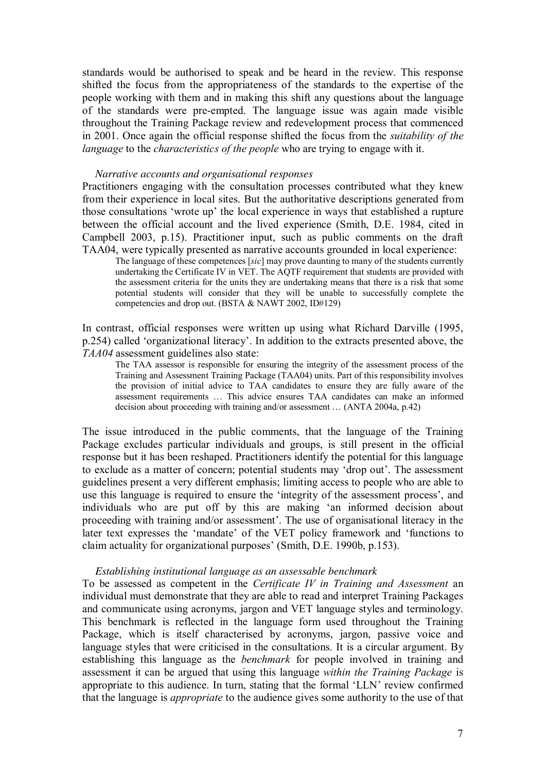standards would be authorised to speak and be heard in the review. This response shifted the focus from the appropriateness of the standards to the expertise of the people working with them and in making this shift any questions about the language of the standards were pre-empted. The language issue was again made visible throughout the Training Package review and redevelopment process that commenced in 2001. Once again the official response shifted the focus from the *suitability of the language* to the *characteristics of the people* who are trying to engage with it.

#### *Narrative accounts and organisational responses*

Practitioners engaging with the consultation processes contributed what they knew from their experience in local sites. But the authoritative descriptions generated from those consultations 'wrote up' the local experience in ways that established a rupture between the official account and the lived experience (Smith, D.E. 1984, cited in Campbell 2003, p.15). Practitioner input, such as public comments on the draft TAA04, were typically presented as narrative accounts grounded in local experience:

The language of these competences [*sic*] may prove daunting to many of the students currently undertaking the Certificate IV in VET. The AQTF requirement that students are provided with the assessment criteria for the units they are undertaking means that there is a risk that some potential students will consider that they will be unable to successfully complete the competencies and drop out. (BSTA & NAWT 2002, ID#129)

In contrast, official responses were written up using what Richard Darville (1995, p.254) called 'organizational literacy'. In addition to the extracts presented above, the *TAA04* assessment guidelines also state:

The TAA assessor is responsible for ensuring the integrity of the assessment process of the Training and Assessment Training Package (TAA04) units. Part of this responsibility involves the provision of initial advice to TAA candidates to ensure they are fully aware of the assessment requirements … This advice ensures TAA candidates can make an informed decision about proceeding with training and/or assessment … (ANTA 2004a, p.42)

The issue introduced in the public comments, that the language of the Training Package excludes particular individuals and groups, is still present in the official response but it has been reshaped. Practitioners identify the potential for this language to exclude as a matter of concern; potential students may 'drop out'. The assessment guidelines present a very different emphasis; limiting access to people who are able to use this language is required to ensure the 'integrity of the assessment process', and individuals who are put off by this are making 'an informed decision about proceeding with training and/or assessment'. The use of organisational literacy in the later text expresses the 'mandate' of the VET policy framework and 'functions to claim actuality for organizational purposes' (Smith, D.E. 1990b, p.153).

### *Establishing institutional language as an assessable benchmark*

To be assessed as competent in the *Certificate IV in Training and Assessment* an individual must demonstrate that they are able to read and interpret Training Packages and communicate using acronyms, jargon and VET language styles and terminology. This benchmark is reflected in the language form used throughout the Training Package, which is itself characterised by acronyms, jargon, passive voice and language styles that were criticised in the consultations. It is a circular argument. By establishing this language as the *benchmark* for people involved in training and assessment it can be argued that using this language *within the Training Package* is appropriate to this audience. In turn, stating that the formal 'LLN' review confirmed that the language is *appropriate* to the audience gives some authority to the use of that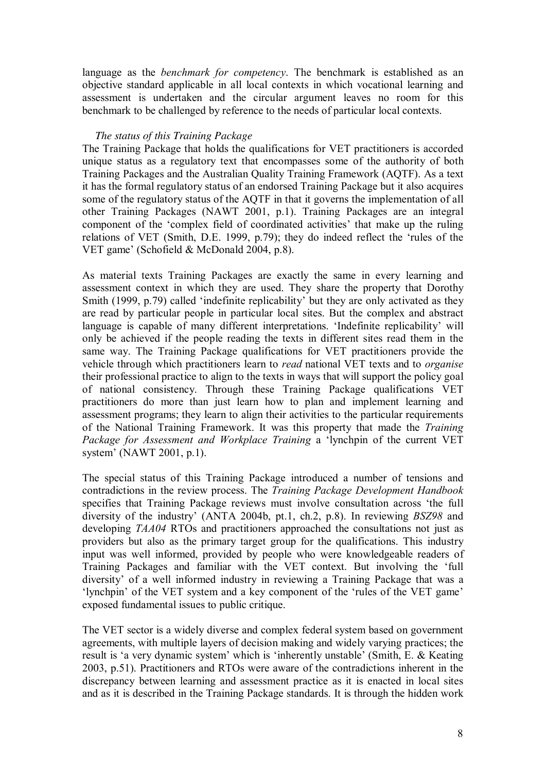language as the *benchmark for competency*. The benchmark is established as an objective standard applicable in all local contexts in which vocational learning and assessment is undertaken and the circular argument leaves no room for this benchmark to be challenged by reference to the needs of particular local contexts.

### *The status of this Training Package*

The Training Package that holds the qualifications for VET practitioners is accorded unique status as a regulatory text that encompasses some of the authority of both Training Packages and the Australian Quality Training Framework (AQTF). As a text it has the formal regulatory status of an endorsed Training Package but it also acquires some of the regulatory status of the AQTF in that it governs the implementation of all other Training Packages (NAWT 2001, p.1). Training Packages are an integral component of the 'complex field of coordinated activities' that make up the ruling relations of VET (Smith, D.E. 1999, p.79); they do indeed reflect the 'rules of the VET game' (Schofield & McDonald 2004, p.8).

As material texts Training Packages are exactly the same in every learning and assessment context in which they are used. They share the property that Dorothy Smith (1999, p.79) called 'indefinite replicability' but they are only activated as they are read by particular people in particular local sites. But the complex and abstract language is capable of many different interpretations. 'Indefinite replicability' will only be achieved if the people reading the texts in different sites read them in the same way. The Training Package qualifications for VET practitioners provide the vehicle through which practitioners learn to *read* national VET texts and to *organise* their professional practice to align to the texts in ways that will support the policy goal of national consistency. Through these Training Package qualifications VET practitioners do more than just learn how to plan and implement learning and assessment programs; they learn to align their activities to the particular requirements of the National Training Framework. It was this property that made the *Training Package for Assessment and Workplace Training* a 'lynchpin of the current VET system' (NAWT 2001, p.1).

The special status of this Training Package introduced a number of tensions and contradictions in the review process. The *Training Package Development Handbook* specifies that Training Package reviews must involve consultation across 'the full diversity of the industry' (ANTA 2004b, pt.1, ch.2, p.8). In reviewing *BSZ98* and developing *TAA04* RTOs and practitioners approached the consultations not just as providers but also as the primary target group for the qualifications. This industry input was well informed, provided by people who were knowledgeable readers of Training Packages and familiar with the VET context. But involving the 'full diversity' of a well informed industry in reviewing a Training Package that was a 'lynchpin' of the VET system and a key component of the 'rules of the VET game' exposed fundamental issues to public critique.

The VET sector is a widely diverse and complex federal system based on government agreements, with multiple layers of decision making and widely varying practices; the result is 'a very dynamic system' which is 'inherently unstable' (Smith, E. & Keating 2003, p.51). Practitioners and RTOs were aware of the contradictions inherent in the discrepancy between learning and assessment practice as it is enacted in local sites and as it is described in the Training Package standards. It is through the hidden work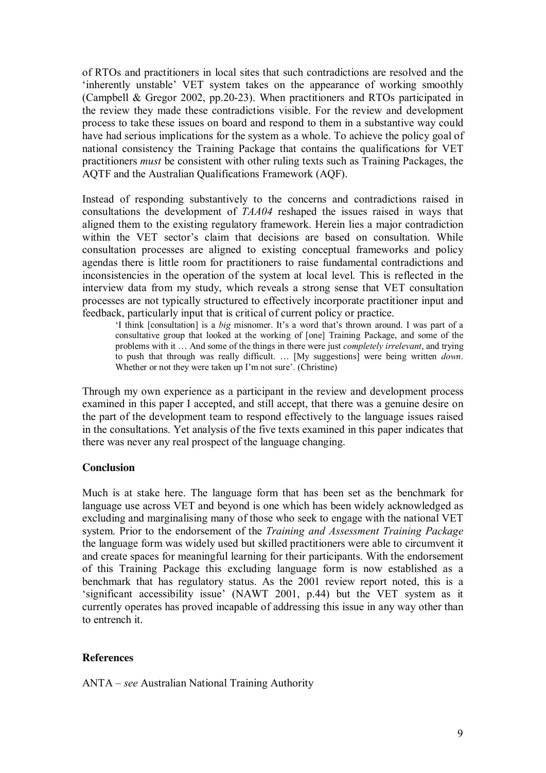of RTOs and practitioners in local sites that such contradictions are resolved and the 'inherently unstable' VET system takes on the appearance of working smoothly (Campbell & Gregor 2002, pp.20-23). When practitioners and RTOs participated in the review they made these contradictions visible. For the review and development process to take these issues on board and respond to them in a substantive way could have had serious implications for the system as a whole. To achieve the policy goal of national consistency the Training Package that contains the qualifications for VET practitioners *must* be consistent with other ruling texts such as Training Packages, the AQTF and the Australian Qualifications Framework (AQF).

Instead of responding substantively to the concerns and contradictions raised in consultations the development of *TAA04* reshaped the issues raised in ways that aligned them to the existing regulatory framework. Herein lies a major contradiction within the VET sector's claim that decisions are based on consultation. While consultation processes are aligned to existing conceptual frameworks and policy agendas there is little room for practitioners to raise fundamental contradictions and inconsistencies in the operation of the system at local level. This is reflected in the interview data from my study, which reveals a strong sense that VET consultation processes are not typically structured to effectively incorporate practitioner input and feedback, particularly input that is critical of current policy or practice.

'I think [consultation] is a *big* misnomer. It's a word that's thrown around. I was part of a consultative group that looked at the working of [one] Training Package, and some of the problems with it … And some of the things in there were just *completely irrelevant*, and trying to push that through was really difficult. … [My suggestions] were being written *down*. Whether or not they were taken up I'm not sure'. (Christine)

Through my own experience as a participant in the review and development process examined in this paper I accepted, and still accept, that there was a genuine desire on the part of the development team to respond effectively to the language issues raised in the consultations. Yet analysis of the five texts examined in this paper indicates that there was never any real prospect of the language changing.

## **Conclusion**

Much is at stake here. The language form that has been set as the benchmark for language use across VET and beyond is one which has been widely acknowledged as excluding and marginalising many of those who seek to engage with the national VET system. Prior to the endorsement of the *Training and Assessment Training Package* the language form was widely used but skilled practitioners were able to circumvent it and create spaces for meaningful learning for their participants. With the endorsement of this Training Package this excluding language form is now established as a benchmark that has regulatory status. As the 2001 review report noted, this is a 'significant accessibility issue' (NAWT 2001, p.44) but the VET system as it currently operates has proved incapable of addressing this issue in any way other than to entrench it.

### **References**

ANTA –*see* Australian National Training Authority